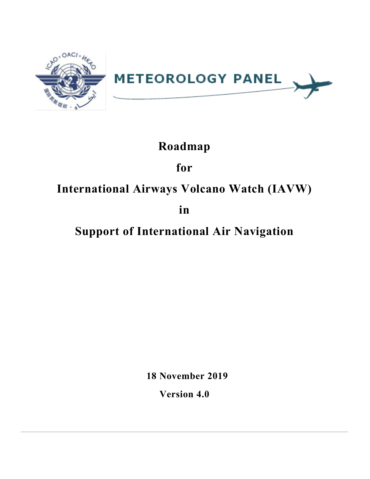

# **Roadmap**

# **for**

# **International Airways Volcano Watch (IAVW)**

**in**

# **Support of International Air Navigation**

**18 November 2019**

**Version 4.0**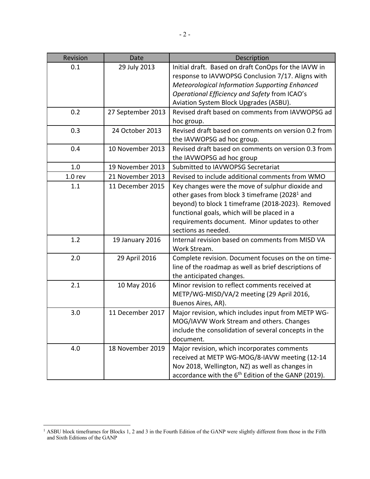| Revision           | Date              | Description                                                                                                                                                                                                                                                                               |  |  |  |
|--------------------|-------------------|-------------------------------------------------------------------------------------------------------------------------------------------------------------------------------------------------------------------------------------------------------------------------------------------|--|--|--|
| 0.1                | 29 July 2013      | Initial draft. Based on draft ConOps for the IAVW in<br>response to IAVWOPSG Conclusion 7/17. Aligns with<br><b>Meteorological Information Supporting Enhanced</b><br>Operational Efficiency and Safety from ICAO's<br>Aviation System Block Upgrades (ASBU).                             |  |  |  |
| 0.2                | 27 September 2013 | Revised draft based on comments from IAVWOPSG ad<br>hoc group.                                                                                                                                                                                                                            |  |  |  |
| 0.3                | 24 October 2013   | Revised draft based on comments on version 0.2 from<br>the IAVWOPSG ad hoc group.                                                                                                                                                                                                         |  |  |  |
| 0.4                | 10 November 2013  | Revised draft based on comments on version 0.3 from<br>the IAVWOPSG ad hoc group                                                                                                                                                                                                          |  |  |  |
| 1.0                | 19 November 2013  | Submitted to IAVWOPSG Secretariat                                                                                                                                                                                                                                                         |  |  |  |
| 1.0 <sub>rev</sub> | 21 November 2013  | Revised to include additional comments from WMO                                                                                                                                                                                                                                           |  |  |  |
| 1.1                | 11 December 2015  | Key changes were the move of sulphur dioxide and<br>other gases from block 3 timeframe (2028 <sup>1</sup> and<br>beyond) to block 1 timeframe (2018-2023). Removed<br>functional goals, which will be placed in a<br>requirements document. Minor updates to other<br>sections as needed. |  |  |  |
| 1.2                | 19 January 2016   | Internal revision based on comments from MISD VA<br>Work Stream.                                                                                                                                                                                                                          |  |  |  |
| 2.0                | 29 April 2016     | Complete revision. Document focuses on the on time-<br>line of the roadmap as well as brief descriptions of<br>the anticipated changes.                                                                                                                                                   |  |  |  |
| 2.1                | 10 May 2016       | Minor revision to reflect comments received at<br>METP/WG-MISD/VA/2 meeting (29 April 2016,<br>Buenos Aires, AR).                                                                                                                                                                         |  |  |  |
| 3.0                | 11 December 2017  | Major revision, which includes input from METP WG-<br>MOG/IAVW Work Stream and others. Changes<br>include the consolidation of several concepts in the<br>document.                                                                                                                       |  |  |  |
| 4.0                | 18 November 2019  | Major revision, which incorporates comments<br>received at METP WG-MOG/8-IAVW meeting (12-14<br>Nov 2018, Wellington, NZ) as well as changes in<br>accordance with the 6 <sup>th</sup> Edition of the GANP (2019).                                                                        |  |  |  |

<sup>&</sup>lt;sup>1</sup> ASBU block timeframes for Blocks 1, 2 and 3 in the Fourth Edition of the GANP were slightly different from those in the Fifth and Sixth Editions of the GANP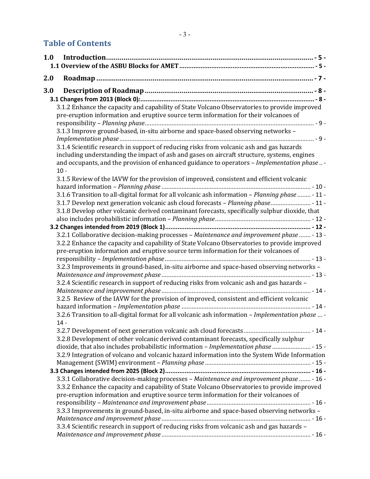## **Table of Contents**

| 1.0 |                                                                                                   |
|-----|---------------------------------------------------------------------------------------------------|
|     |                                                                                                   |
| 2.0 |                                                                                                   |
| 3.0 |                                                                                                   |
|     |                                                                                                   |
|     | 3.1.2 Enhance the capacity and capability of State Volcano Observatories to provide improved      |
|     | pre-eruption information and eruptive source term information for their volcanoes of              |
|     |                                                                                                   |
|     | 3.1.3 Improve ground-based, in-situ airborne and space-based observing networks -                 |
|     |                                                                                                   |
|     | 3.1.4 Scientific research in support of reducing risks from volcanic ash and gas hazards          |
|     | including understanding the impact of ash and gases on aircraft structure, systems, engines       |
|     | and occupants, and the provision of enhanced guidance to operators - Implementation phase -       |
|     | $10 -$                                                                                            |
|     | 3.1.5 Review of the IAVW for the provision of improved, consistent and efficient volcanic         |
|     |                                                                                                   |
|     | 3.1.6 Transition to all-digital format for all volcanic ash information - Planning phase  - 11 -  |
|     | 3.1.7 Develop next generation volcanic ash cloud forecasts - Planning phase - 11 -                |
|     | 3.1.8 Develop other volcanic derived contaminant forecasts, specifically sulphur dioxide, that    |
|     |                                                                                                   |
|     | 3.2.1 Collaborative decision-making processes - Maintenance and improvement phase  - 13 -         |
|     | 3.2.2 Enhance the capacity and capability of State Volcano Observatories to provide improved      |
|     | pre-eruption information and eruptive source term information for their volcanoes of              |
|     |                                                                                                   |
|     | 3.2.3 Improvements in ground-based, in-situ airborne and space-based observing networks -         |
|     |                                                                                                   |
|     | 3.2.4 Scientific research in support of reducing risks from volcanic ash and gas hazards -        |
|     |                                                                                                   |
|     | 3.2.5 Review of the IAVW for the provision of improved, consistent and efficient volcanic         |
|     |                                                                                                   |
|     | 3.2.6 Transition to all-digital format for all volcanic ash information - Implementation phase  - |
|     | $1\Lambda$                                                                                        |
|     |                                                                                                   |
|     | 3.2.8 Development of other volcanic derived contaminant forecasts, specifically sulphur           |
|     | dioxide, that also includes probabilistic information - Implementation phase  - 15 -              |
|     | 3.2.9 Integration of volcano and volcanic hazard information into the System Wide Information     |
|     |                                                                                                   |
|     |                                                                                                   |
|     | 3.3.1 Collaborative decision-making processes - Maintenance and improvement phase  - 16 -         |
|     | 3.3.2 Enhance the capacity and capability of State Volcano Observatories to provide improved      |
|     | pre-eruption information and eruptive source term information for their volcanoes of              |
|     | 3.3.3 Improvements in ground-based, in-situ airborne and space-based observing networks -         |
|     |                                                                                                   |
|     | 3.3.4 Scientific research in support of reducing risks from volcanic ash and gas hazards -        |
|     |                                                                                                   |
|     |                                                                                                   |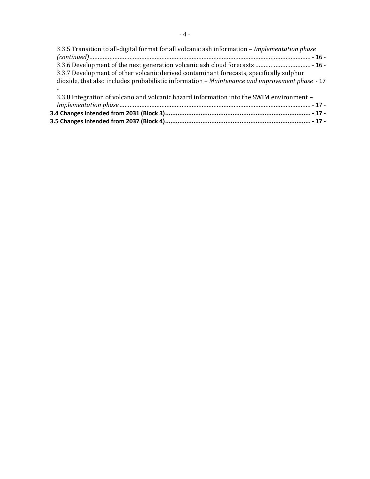| 3.3.5 Transition to all-digital format for all volcanic ash information – Implementation phase |  |
|------------------------------------------------------------------------------------------------|--|
|                                                                                                |  |
|                                                                                                |  |
| 3.3.7 Development of other volcanic derived contaminant forecasts, specifically sulphur        |  |
| dioxide, that also includes probabilistic information - Maintenance and improvement phase - 17 |  |
|                                                                                                |  |
| 3.3.8 Integration of volcano and volcanic hazard information into the SWIM environment -       |  |
|                                                                                                |  |
|                                                                                                |  |
|                                                                                                |  |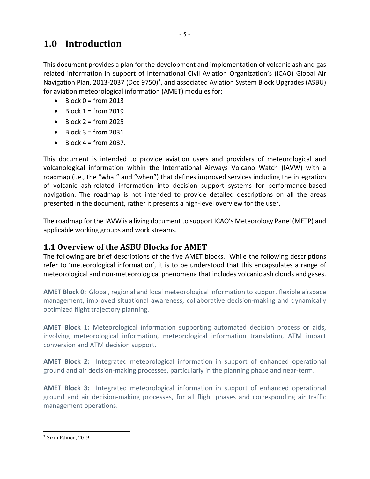# **1.0 Introduction**

This document provides a plan for the development and implementation of volcanic ash and gas related information in support of International Civil Aviation Organization's (ICAO) Global Air Navigation Plan, 2013-2037 (Doc 9750)<sup>2</sup>, and associated Aviation System Block Upgrades (ASBU) for aviation meteorological information (AMET) modules for:

- $\bullet$  Block 0 = from 2013
- Block  $1 = from 2019$
- Block  $2 = from 2025$
- $\bullet$  Block 3 = from 2031
- $\bullet$  Block 4 = from 2037.

This document is intended to provide aviation users and providers of meteorological and volcanological information within the International Airways Volcano Watch (IAVW) with a roadmap (i.e., the "what" and "when") that defines improved services including the integration of volcanic ash-related information into decision support systems for performance-based navigation. The roadmap is not intended to provide detailed descriptions on all the areas presented in the document, rather it presents a high-level overview for the user.

The roadmap for the IAVW is a living document to support ICAO's Meteorology Panel (METP) and applicable working groups and work streams.

### **1.1 Overview of the ASBU Blocks for AMET**

The following are brief descriptions of the five AMET blocks. While the following descriptions refer to 'meteorological information', it is to be understood that this encapsulates a range of meteorological and non-meteorological phenomena that includes volcanic ash clouds and gases.

**AMET Block 0:** Global, regional and local meteorological information to support flexible airspace management, improved situational awareness, collaborative decision-making and dynamically optimized flight trajectory planning.

**AMET Block 1:** Meteorological information supporting automated decision process or aids, involving meteorological information, meteorological information translation, ATM impact conversion and ATM decision support.

**AMET Block 2:** Integrated meteorological information in support of enhanced operational ground and air decision-making processes, particularly in the planning phase and near-term.

**AMET Block 3:** Integrated meteorological information in support of enhanced operational ground and air decision-making processes, for all flight phases and corresponding air traffic management operations.

<sup>2</sup> Sixth Edition, 2019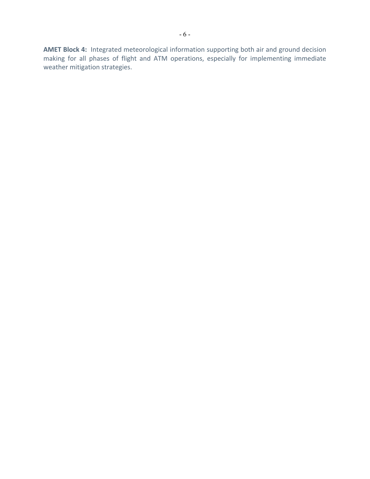**AMET Block 4:** Integrated meteorological information supporting both air and ground decision making for all phases of flight and ATM operations, especially for implementing immediate weather mitigation strategies.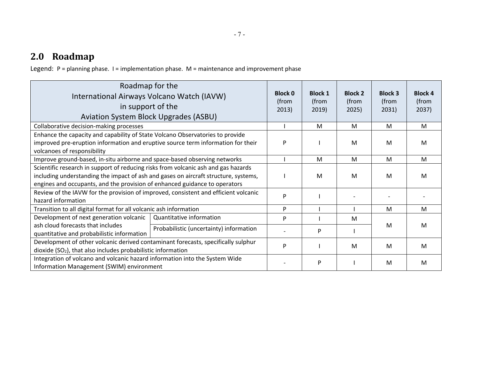# **2.0 Roadmap**

Legend: P = planning phase. I = implementation phase. M = maintenance and improvement phase

| Roadmap for the<br>International Airways Volcano Watch (IAVW)<br>in support of the<br>Aviation System Block Upgrades (ASBU)                                                                                                                             |                                         | <b>Block 0</b><br>(from<br>2013) | <b>Block 1</b><br>(from<br>2019 | <b>Block 2</b><br>(from<br>2025) | <b>Block 3</b><br>(from<br>2031) | <b>Block 4</b><br>(from<br>2037) |
|---------------------------------------------------------------------------------------------------------------------------------------------------------------------------------------------------------------------------------------------------------|-----------------------------------------|----------------------------------|---------------------------------|----------------------------------|----------------------------------|----------------------------------|
| Collaborative decision-making processes                                                                                                                                                                                                                 |                                         |                                  | M                               | M                                | M                                | M                                |
| Enhance the capacity and capability of State Volcano Observatories to provide<br>improved pre-eruption information and eruptive source term information for their<br>volcanoes of responsibility                                                        |                                         |                                  |                                 | M                                | M                                | M                                |
| Improve ground-based, in-situ airborne and space-based observing networks                                                                                                                                                                               |                                         |                                  | M                               | M                                | M                                | M                                |
| Scientific research in support of reducing risks from volcanic ash and gas hazards<br>including understanding the impact of ash and gases on aircraft structure, systems,<br>engines and occupants, and the provision of enhanced guidance to operators |                                         |                                  | M                               | м                                | M                                | M                                |
| Review of the IAVW for the provision of improved, consistent and efficient volcanic<br>hazard information                                                                                                                                               |                                         |                                  |                                 |                                  |                                  |                                  |
| Transition to all digital format for all volcanic ash information                                                                                                                                                                                       |                                         | P                                |                                 |                                  | M                                | M                                |
| Development of next generation volcanic                                                                                                                                                                                                                 | Quantitative information                | P                                |                                 | м                                |                                  |                                  |
| ash cloud forecasts that includes<br>quantitative and probabilistic information                                                                                                                                                                         | Probabilistic (uncertainty) information |                                  | P                               |                                  | M                                | M                                |
| Development of other volcanic derived contaminant forecasts, specifically sulphur<br>dioxide (SO <sub>2</sub> ), that also includes probabilistic information                                                                                           |                                         | P                                |                                 | M                                | M                                | M                                |
| Integration of volcano and volcanic hazard information into the System Wide<br>Information Management (SWIM) environment                                                                                                                                |                                         |                                  | P                               |                                  | M                                | M                                |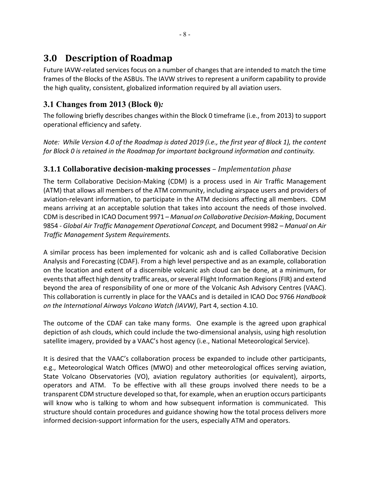# **3.0 Description of Roadmap**

Future IAVW-related services focus on a number of changes that are intended to match the time frames of the Blocks of the ASBUs. The IAVW strives to represent a uniform capability to provide the high quality, consistent, globalized information required by all aviation users.

## **3.1 Changes from 2013 (Block 0)***:*

The following briefly describes changes within the Block 0 timeframe (i.e., from 2013) to support operational efficiency and safety.

*Note: While Version 4.0 of the Roadmap is dated 2019 (i.e., the first year of Block 1), the content for Block 0 is retained in the Roadmap for important background information and continuity.*

#### **3.1.1 Collaborative decision-making processes** – *Implementation phase*

The term Collaborative Decision-Making (CDM) is a process used in Air Traffic Management (ATM) that allows all members of the ATM community, including airspace users and providers of aviation-relevant information, to participate in the ATM decisions affecting all members. CDM means arriving at an acceptable solution that takes into account the needs of those involved. CDM is described in ICAO Document 9971 – *Manual on Collaborative Decision-Making*, Document 9854 - *Global Air Traffic Management Operational Concept,* and Document 9982 *– Manual on Air Traffic Management System Requirements.*

A similar process has been implemented for volcanic ash and is called Collaborative Decision Analysis and Forecasting (CDAF). From a high level perspective and as an example, collaboration on the location and extent of a discernible volcanic ash cloud can be done, at a minimum, for events that affect high density traffic areas, or several Flight Information Regions (FIR) and extend beyond the area of responsibility of one or more of the Volcanic Ash Advisory Centres (VAAC). This collaboration is currently in place for the VAACs and is detailed in ICAO Doc 9766 *Handbook on the International Airways Volcano Watch (IAVW)*, Part 4, section 4.10.

The outcome of the CDAF can take many forms. One example is the agreed upon graphical depiction of ash clouds, which could include the two-dimensional analysis, using high resolution satellite imagery, provided by a VAAC's host agency (i.e., National Meteorological Service).

It is desired that the VAAC's collaboration process be expanded to include other participants, e.g., Meteorological Watch Offices (MWO) and other meteorological offices serving aviation, State Volcano Observatories (VO), aviation regulatory authorities (or equivalent), airports, operators and ATM. To be effective with all these groups involved there needs to be a transparent CDM structure developed so that, for example, when an eruption occurs participants will know who is talking to whom and how subsequent information is communicated. This structure should contain procedures and guidance showing how the total process delivers more informed decision-support information for the users, especially ATM and operators.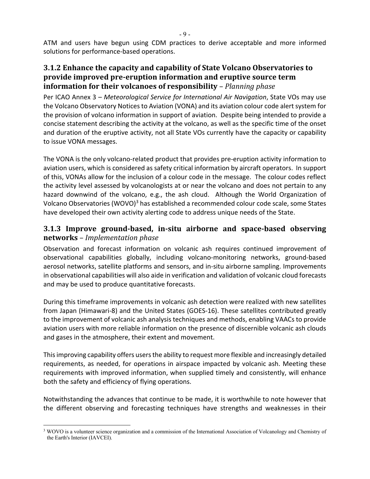- 9 -

ATM and users have begun using CDM practices to derive acceptable and more informed solutions for performance-based operations.

#### **3.1.2 Enhance the capacity and capability of State Volcano Observatories to provide improved pre-eruption information and eruptive source term information for their volcanoes of responsibility** – Planning phase

Per ICAO Annex 3 – *Meteorological Service for International Air Navigation*, State VOs may use the Volcano Observatory Notices to Aviation (VONA) and its aviation colour code alert system for the provision of volcano information in support of aviation. Despite being intended to provide a concise statement describing the activity at the volcano, as well as the specific time of the onset and duration of the eruptive activity, not all State VOs currently have the capacity or capability to issue VONA messages.

The VONA is the only volcano-related product that provides pre-eruption activity information to aviation users, which is considered as safety critical information by aircraft operators. In support of this, VONAs allow for the inclusion of a colour code in the message. The colour codes reflect the activity level assessed by volcanologists at or near the volcano and does not pertain to any hazard downwind of the volcano, e.g., the ash cloud. Although the World Organization of Volcano Observatories (WOVO)<sup>3</sup> has established a recommended colour code scale, some States have developed their own activity alerting code to address unique needs of the State.

#### **3.1.3** Improve ground-based, in-situ airborne and space-based observing **networks** *– Implementation phase*

Observation and forecast information on volcanic ash requires continued improvement of observational capabilities globally, including volcano-monitoring networks, ground-based aerosol networks, satellite platforms and sensors, and in-situ airborne sampling. Improvements in observational capabilities will also aide in verification and validation of volcanic cloud forecasts and may be used to produce quantitative forecasts.

During this timeframe improvements in volcanic ash detection were realized with new satellites from Japan (Himawari-8) and the United States (GOES-16). These satellites contributed greatly to the improvement of volcanic ash analysis techniques and methods, enabling VAACs to provide aviation users with more reliable information on the presence of discernible volcanic ash clouds and gases in the atmosphere, their extent and movement.

Thisimproving capability offers usersthe ability to request more flexible and increasingly detailed requirements, as needed, for operations in airspace impacted by volcanic ash. Meeting these requirements with improved information, when supplied timely and consistently, will enhance both the safety and efficiency of flying operations.

Notwithstanding the advances that continue to be made, it is worthwhile to note however that the different observing and forecasting techniques have strengths and weaknesses in their

<sup>&</sup>lt;sup>3</sup> WOVO is a volunteer science organization and a commission of the International Association of Volcanology and Chemistry of the Earth's Interior (IAVCEI).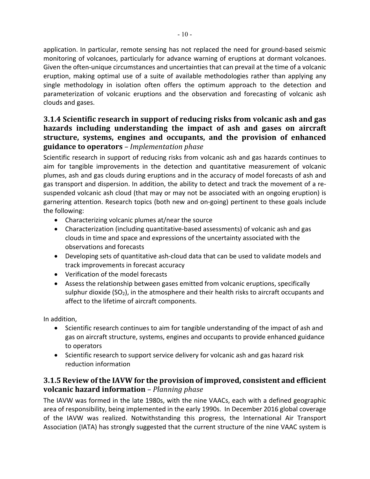application. In particular, remote sensing has not replaced the need for ground-based seismic monitoring of volcanoes, particularly for advance warning of eruptions at dormant volcanoes. Given the often-unique circumstances and uncertainties that can prevail at the time of a volcanic eruption, making optimal use of a suite of available methodologies rather than applying any single methodology in isolation often offers the optimum approach to the detection and parameterization of volcanic eruptions and the observation and forecasting of volcanic ash clouds and gases.

#### **3.1.4** Scientific research in support of reducing risks from volcanic ash and gas hazards including understanding the impact of ash and gases on aircraft **structure, systems, engines and occupants, and the provision of enhanced guidance to operators** *– Implementation phase*

Scientific research in support of reducing risks from volcanic ash and gas hazards continues to aim for tangible improvements in the detection and quantitative measurement of volcanic plumes, ash and gas clouds during eruptions and in the accuracy of model forecasts of ash and gas transport and dispersion. In addition, the ability to detect and track the movement of a resuspended volcanic ash cloud (that may or may not be associated with an ongoing eruption) is garnering attention. Research topics (both new and on-going) pertinent to these goals include the following:

- Characterizing volcanic plumes at/near the source
- Characterization (including quantitative-based assessments) of volcanic ash and gas clouds in time and space and expressions of the uncertainty associated with the observations and forecasts
- Developing sets of quantitative ash-cloud data that can be used to validate models and track improvements in forecast accuracy
- Verification of the model forecasts
- Assess the relationship between gases emitted from volcanic eruptions, specifically sulphur dioxide (SO<sub>2</sub>), in the atmosphere and their health risks to aircraft occupants and affect to the lifetime of aircraft components.

In addition,

- Scientific research continues to aim for tangible understanding of the impact of ash and gas on aircraft structure, systems, engines and occupants to provide enhanced guidance to operators
- Scientific research to support service delivery for volcanic ash and gas hazard risk reduction information

#### **3.1.5** Review of the IAVW for the provision of improved, consistent and efficient **volcanic hazard information** – *Planning phase*

The IAVW was formed in the late 1980s, with the nine VAACs, each with a defined geographic area of responsibility, being implemented in the early 1990s. In December 2016 global coverage of the IAVW was realized. Notwithstanding this progress, the International Air Transport Association (IATA) has strongly suggested that the current structure of the nine VAAC system is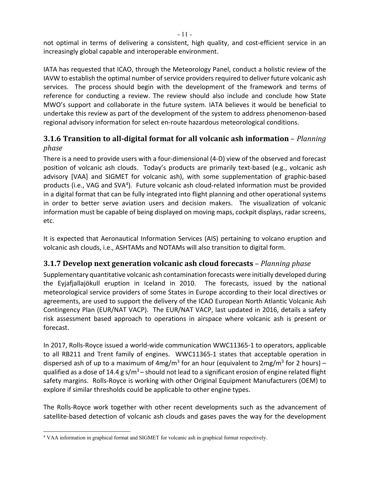not optimal in terms of delivering a consistent, high quality, and cost-efficient service in an increasingly global capable and interoperable environment.

IATA has requested that ICAO, through the Meteorology Panel, conduct a holistic review of the IAVW to establish the optimal number of service providers required to deliver future volcanic ash services. The process should begin with the development of the framework and terms of reference for conducting a review. The review should also include and conclude how State MWO's support and collaborate in the future system. IATA believes it would be beneficial to undertake this review as part of the development of the system to address phenomenon-based regional advisory information for select en-route hazardous meteorological conditions.

#### **3.1.6** Transition to all-digital format for all volcanic ash information – *Planning phase*

There is a need to provide users with a four-dimensional (4-D) view of the observed and forecast position of volcanic ash clouds. Today's products are primarily text-based (e.g., volcanic ash advisory [VAA] and SIGMET for volcanic ash), with some supplementation of graphic-based products (i.e., VAG and SVA<sup>4</sup>). Future volcanic ash cloud-related information must be provided in a digital format that can be fully integrated into flight planning and other operational systems in order to better serve aviation users and decision makers. The visualization of volcanic information must be capable of being displayed on moving maps, cockpit displays, radar screens, etc.

It is expected that Aeronautical Information Services (AIS) pertaining to volcano eruption and volcanic ash clouds, i.e., ASHTAMs and NOTAMs will also transition to digital form.

#### **3.1.7** Develop next generation volcanic ash cloud forecasts – *Planning phase*

Supplementary quantitative volcanic ash contamination forecasts were initially developed during the Eyjafjallajökull eruption in Iceland in 2010. The forecasts, issued by the national meteorological service providers of some States in Europe according to their local directives or agreements, are used to support the delivery of the ICAO European North Atlantic Volcanic Ash Contingency Plan (EUR/NAT VACP). The EUR/NAT VACP, last updated in 2016, details a safety risk assessment based approach to operations in airspace where volcanic ash is present or forecast.

In 2017, Rolls-Royce issued a world-wide communication WWC11365-1 to operators, applicable to all RB211 and Trent family of engines. WWC11365-1 states that acceptable operation in dispersed ash of up to a maximum of  $4mg/m<sup>3</sup>$  for an hour (equivalent to  $2mg/m<sup>3</sup>$  for 2 hours) – qualified as a dose of 14.4 g s/m<sup>3</sup> – should not lead to a significant erosion of engine related flight safety margins. Rolls-Royce is working with other Original Equipment Manufacturers (OEM) to explore if similar thresholds could be applicable to other engine types.

The Rolls-Royce work together with other recent developments such as the advancement of satellite-based detection of volcanic ash clouds and gases paves the way for the development

<sup>4</sup> VAA information in graphical format and SIGMET for volcanic ash in graphical format respectively.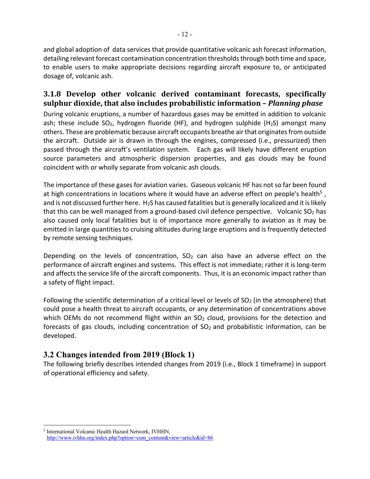and global adoption of data services that provide quantitative volcanic ash forecast information, detailing relevant forecast contamination concentration thresholds through both time and space, to enable users to make appropriate decisions regarding aircraft exposure to, or anticipated dosage of, volcanic ash.

#### **3.1.8 Develop other volcanic derived contaminant forecasts, specifically sulphur dioxide, that also includes probabilistic information –** *Planning phase*

During volcanic eruptions, a number of hazardous gases may be emitted in addition to volcanic ash; these include  $SO_2$ , hydrogen fluoride (HF), and hydrogen sulphide (H<sub>2</sub>S) amongst many others. These are problematic because aircraft occupants breathe air that originates from outside the aircraft. Outside air is drawn in through the engines, compressed (i.e., pressurized) then passed through the aircraft's ventilation system. Each gas will likely have different eruption source parameters and atmospheric dispersion properties, and gas clouds may be found coincident with or wholly separate from volcanic ash clouds.

The importance of these gases for aviation varies. Gaseous volcanic HF has not so far been found at high concentrations in locations where it would have an adverse effect on people's health<sup>5</sup>, and is not discussed further here. H<sub>2</sub>S has caused fatalities but is generally localized and it is likely that this can be well managed from a ground-based civil defence perspective. Volcanic  $SO_2$  has also caused only local fatalities but is of importance more generally to aviation as it may be emitted in large quantities to cruising altitudes during large eruptions and is frequently detected by remote sensing techniques.

Depending on the levels of concentration,  $SO<sub>2</sub>$  can also have an adverse effect on the performance of aircraft engines and systems. This effect is not immediate; rather it is long-term and affects the service life of the aircraft components. Thus, it is an economic impact rather than a safety of flight impact.

Following the scientific determination of a critical level or levels of  $SO<sub>2</sub>$  (in the atmosphere) that could pose a health threat to aircraft occupants, or any determination of concentrations above which OEMs do not recommend flight within an  $SO<sub>2</sub>$  cloud, provisions for the detection and forecasts of gas clouds, including concentration of  $SO<sub>2</sub>$  and probabilistic information, can be developed.

#### **3.2 Changes intended from 2019 (Block 1)**

The following briefly describes intended changes from 2019 (i.e., Block 1 timeframe) in support of operational efficiency and safety.

<sup>5</sup> International Volcanic Health Hazard Network, IVHHN, http://www.ivhhn.org/index.php?option=com\_content&view=article&id=86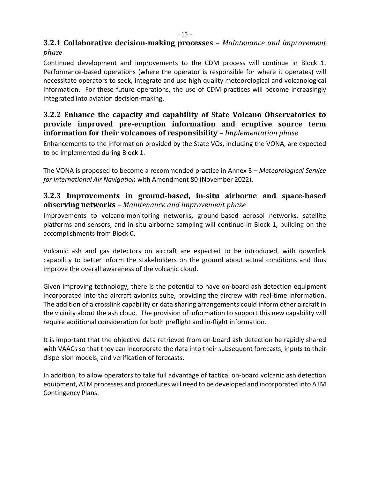#### **3.2.1 Collaborative decision-making processes** – Maintenance and improvement *phase*

Continued development and improvements to the CDM process will continue in Block 1. Performance-based operations (where the operator is responsible for where it operates) will necessitate operators to seek, integrate and use high quality meteorological and volcanological information. For these future operations, the use of CDM practices will become increasingly integrated into aviation decision-making.

#### **3.2.2 Enhance** the capacity and capability of State Volcano Observatories to **provide** improved pre-eruption information and eruptive source term **information for their volcanoes of responsibility** – *Implementation phase*

Enhancements to the information provided by the State VOs, including the VONA, are expected to be implemented during Block 1.

The VONA is proposed to become a recommended practice in Annex 3 – *Meteorological Service for International Air Navigation* with Amendment 80 (November 2022).

#### **3.2.3** Improvements in ground-based, in-situ airborne and space-based **observing networks** – Maintenance and improvement phase

Improvements to volcano-monitoring networks, ground-based aerosol networks, satellite platforms and sensors, and in-situ airborne sampling will continue in Block 1, building on the accomplishments from Block 0.

Volcanic ash and gas detectors on aircraft are expected to be introduced, with downlink capability to better inform the stakeholders on the ground about actual conditions and thus improve the overall awareness of the volcanic cloud.

Given improving technology, there is the potential to have on-board ash detection equipment incorporated into the aircraft avionics suite, providing the aircrew with real-time information. The addition of a crosslink capability or data sharing arrangements could inform other aircraft in the vicinity about the ash cloud. The provision of information to support this new capability will require additional consideration for both preflight and in-flight information.

It is important that the objective data retrieved from on-board ash detection be rapidly shared with VAACs so that they can incorporate the data into their subsequent forecasts, inputs to their dispersion models, and verification of forecasts.

In addition, to allow operators to take full advantage of tactical on-board volcanic ash detection equipment, ATM processes and procedures will need to be developed and incorporated into ATM Contingency Plans.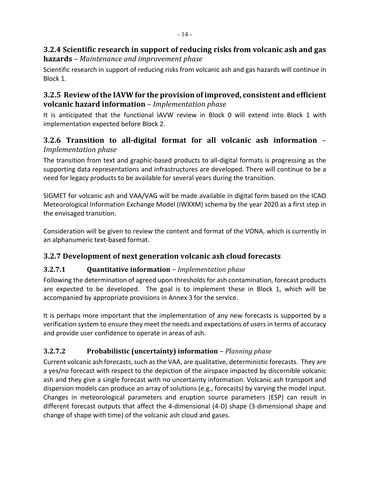#### **3.2.4** Scientific research in support of reducing risks from volcanic ash and gas **hazards** *– Maintenance and improvement phase*

Scientific research in support of reducing risks from volcanic ash and gas hazards will continue in Block 1.

#### **3.2.5** Review of the IAVW for the provision of improved, consistent and efficient **volcanic hazard information** – *Implementation phase*

It is anticipated that the functional IAVW review in Block 0 will extend into Block 1 with implementation expected before Block 2.

#### **3.2.6 Transition to all-digital format for all volcanic ash information** *– Implementation phase*

The transition from text and graphic-based products to all-digital formats is progressing as the supporting data representations and infrastructures are developed. There will continue to be a need for legacy products to be available for several years during the transition.

SIGMET for volcanic ash and VAA/VAG will be made available in digital form based on the ICAO Meteorological Information Exchange Model (IWXXM) schema by the year 2020 as a first step in the envisaged transition.

Consideration will be given to review the content and format of the VONA, which is currently in an alphanumeric text-based format.

### **3.2.7 Development of next generation volcanic ash cloud forecasts**

#### **3.2.7.1 Quantitative information** – *Implementation phase*

Following the determination of agreed upon thresholds for ash contamination, forecast products are expected to be developed. The goal is to implement these in Block 1, which will be accompanied by appropriate provisions in Annex 3 for the service.

It is perhaps more important that the implementation of any new forecasts is supported by a verification system to ensure they meet the needs and expectations of users in terms of accuracy and provide user confidence to operate in areas of ash.

#### **3.2.7.2 Probabilistic (uncertainty) information** – *Planning phase*

Current volcanic ash forecasts, such as the VAA, are qualitative, deterministic forecasts. They are a yes/no forecast with respect to the depiction of the airspace impacted by discernible volcanic ash and they give a single forecast with no uncertainty information. Volcanic ash transport and dispersion models can produce an array of solutions (e.g., forecasts) by varying the model input. Changes in meteorological parameters and eruption source parameters (ESP) can result in different forecast outputs that affect the 4-dimensional (4-D) shape (3-dimensional shape and change of shape with time) of the volcanic ash cloud and gases.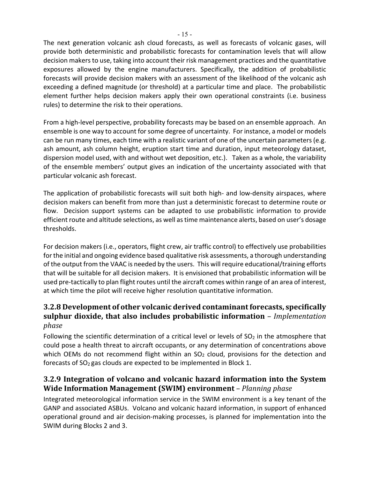The next generation volcanic ash cloud forecasts, as well as forecasts of volcanic gases, will provide both deterministic and probabilistic forecasts for contamination levels that will allow decision makers to use, taking into account their risk management practices and the quantitative exposures allowed by the engine manufacturers. Specifically, the addition of probabilistic forecasts will provide decision makers with an assessment of the likelihood of the volcanic ash exceeding a defined magnitude (or threshold) at a particular time and place. The probabilistic element further helps decision makers apply their own operational constraints (i.e. business rules) to determine the risk to their operations.

From a high-level perspective, probability forecasts may be based on an ensemble approach. An ensemble is one way to account for some degree of uncertainty. For instance, a model or models can be run many times, each time with a realistic variant of one of the uncertain parameters (e.g. ash amount, ash column height, eruption start time and duration, input meteorology dataset, dispersion model used, with and without wet deposition, etc.). Taken as a whole, the variability of the ensemble members' output gives an indication of the uncertainty associated with that particular volcanic ash forecast.

The application of probabilistic forecasts will suit both high- and low-density airspaces, where decision makers can benefit from more than just a deterministic forecast to determine route or flow. Decision support systems can be adapted to use probabilistic information to provide efficient route and altitude selections, as well as time maintenance alerts, based on user's dosage thresholds.

For decision makers (i.e., operators, flight crew, air traffic control) to effectively use probabilities for the initial and ongoing evidence based qualitative risk assessments, a thorough understanding of the output from the VAAC is needed by the users. This will require educational/training efforts that will be suitable for all decision makers. It is envisioned that probabilistic information will be used pre-tactically to plan flight routes until the aircraft comes within range of an area of interest, at which time the pilot will receive higher resolution quantitative information.

#### **3.2.8** Development of other volcanic derived contaminant forecasts, specifically **sulphur dioxide, that also includes probabilistic information** *– Implementation phase*

Following the scientific determination of a critical level or levels of  $SO<sub>2</sub>$  in the atmosphere that could pose a health threat to aircraft occupants, or any determination of concentrations above which OEMs do not recommend flight within an  $SO<sub>2</sub>$  cloud, provisions for the detection and forecasts of  $SO<sub>2</sub>$  gas clouds are expected to be implemented in Block 1.

#### **3.2.9** Integration of volcano and volcanic hazard information into the System **Wide Information Management (SWIM) environment** – Planning phase

Integrated meteorological information service in the SWIM environment is a key tenant of the GANP and associated ASBUs. Volcano and volcanic hazard information, in support of enhanced operational ground and air decision-making processes, is planned for implementation into the SWIM during Blocks 2 and 3.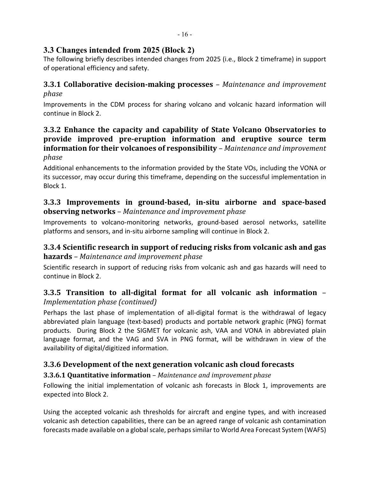#### **3.3 Changes intended from 2025 (Block 2)**

The following briefly describes intended changes from 2025 (i.e., Block 2 timeframe) in support of operational efficiency and safety.

#### **3.3.1 Collaborative decision-making processes** – Maintenance and improvement *phase*

Improvements in the CDM process for sharing volcano and volcanic hazard information will continue in Block 2.

#### **3.3.2 Enhance the capacity and capability of State Volcano Observatories to provide** improved pre-eruption information and eruptive source term **information for their volcanoes of responsibility** – Maintenance and improvement *phase*

Additional enhancements to the information provided by the State VOs, including the VONA or its successor, may occur during this timeframe, depending on the successful implementation in Block 1.

#### **3.3.3** Improvements in ground-based, in-situ airborne and space-based **observing networks** – Maintenance and improvement phase

Improvements to volcano-monitoring networks, ground-based aerosol networks, satellite platforms and sensors, and in-situ airborne sampling will continue in Block 2.

#### **3.3.4** Scientific research in support of reducing risks from volcanic ash and gas **hazards** – Maintenance and improvement phase

Scientific research in support of reducing risks from volcanic ash and gas hazards will need to continue in Block 2.

#### **3.3.5 Transition to all-digital format for all volcanic ash information** – *Implementation phase (continued)*

Perhaps the last phase of implementation of all-digital format is the withdrawal of legacy abbreviated plain language (text-based) products and portable network graphic (PNG) format products. During Block 2 the SIGMET for volcanic ash, VAA and VONA in abbreviated plain language format, and the VAG and SVA in PNG format, will be withdrawn in view of the availability of digital/digitized information.

### **3.3.6** Development of the next generation volcanic ash cloud forecasts

#### **3.3.6.1 Quantitative information** – Maintenance and improvement phase

Following the initial implementation of volcanic ash forecasts in Block 1, improvements are expected into Block 2.

Using the accepted volcanic ash thresholds for aircraft and engine types, and with increased volcanic ash detection capabilities, there can be an agreed range of volcanic ash contamination forecasts made available on a global scale, perhaps similar to World Area Forecast System (WAFS)